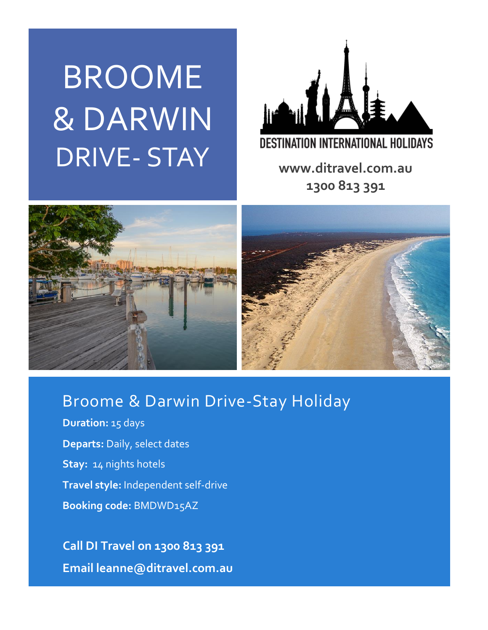# BROOME & DARWIN DRIVE- STAY **www.ditravel.com.au**



**1300 813 391**





## Broome & Darwin Drive-Stay Holiday

**Duration:** 15 days **Departs:** Daily, select dates **Stay:** 14 nights hotels **Travel style:** Independent self-drive **Booking code:** BMDWD15AZ

 **Call DI Travel on 1300 813 391 Email leanne@ditravel.com.au**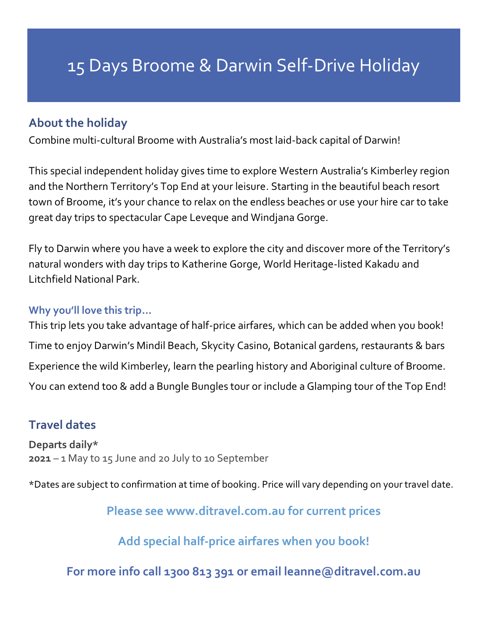## 15 Days Broome & Darwin Self-Drive Holiday

## **About the holiday**

Combine multi-cultural Broome with Australia's most laid-back capital of Darwin!

This special independent holiday gives time to explore Western Australia's Kimberley region and the Northern Territory's Top End at your leisure. Starting in the beautiful beach resort town of Broome, it's your chance to relax on the endless beaches or use your hire car to take great day trips to spectacular Cape Leveque and Windjana Gorge.

Fly to Darwin where you have a week to explore the city and discover more of the Territory's natural wonders with day trips to Katherine Gorge, World Heritage-listed Kakadu and Litchfield National Park.

#### **Why you'll love this trip…**

This trip lets you take advantage of half-price airfares, which can be added when you book! Time to enjoy Darwin's Mindil Beach, Skycity Casino, Botanical gardens, restaurants & bars Experience the wild Kimberley, learn the pearling history and Aboriginal culture of Broome. You can extend too & add a Bungle Bungles tour or include a Glamping tour of the Top End!

## **Travel dates**

**Departs daily\* 2021** – 1 May to 15 June and 20 July to 10 September

\*Dates are subject to confirmation at time of booking. Price will vary depending on your travel date.

**Please see www.ditravel.com.au for current prices**

**Add special half-price airfares when you book!**

**For more info call 1300 813 391 or email leanne@ditravel.com.au**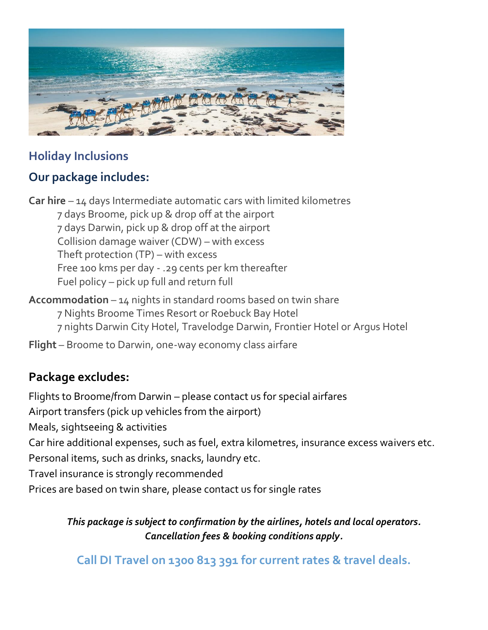

## **Holiday Inclusions**

## **Our package includes:**

**Car hire** – 14 days Intermediate automatic cars with limited kilometres 7 days Broome, pick up & drop off at the airport 7 days Darwin, pick up & drop off at the airport Collision damage waiver (CDW) – with excess Theft protection (TP) – with excess Free 100 kms per day - .29 cents per km thereafter Fuel policy – pick up full and return full

**Accommodation** – 14 nights in standard rooms based on twin share 7 Nights Broome Times Resort or Roebuck Bay Hotel 7 nights Darwin City Hotel, Travelodge Darwin, Frontier Hotel or Argus Hotel

**Flight** – Broome to Darwin, one-way economy class airfare

## **Package excludes:**

Flights to Broome/from Darwin – please contact us for special airfares Airport transfers (pick up vehicles from the airport) Meals, sightseeing & activities Car hire additional expenses, such as fuel, extra kilometres, insurance excess waivers etc. Personal items, such as drinks, snacks, laundry etc. Travel insurance is strongly recommended Prices are based on twin share, please contact us for single rates

*This package is subject to confirmation by the airlines, hotels and local operators. Cancellation fees & booking conditions apply.*

**Call DI Travel on 1300 813 391 for current rates & travel deals.**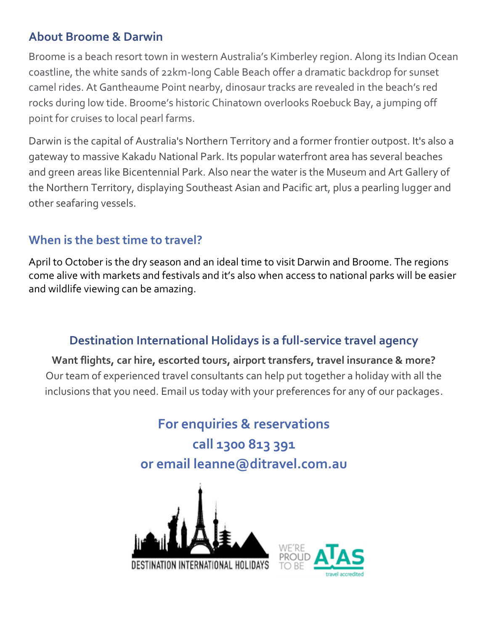## **About Broome & Darwin**

Broome is a beach resort town in western Australia's Kimberley region. Along its Indian Ocean coastline, the white sands of 22km-long Cable Beach offer a dramatic backdrop for sunset camel rides. At Gantheaume Point nearby, dinosaur tracks are revealed in the beach's red rocks during low tide. Broome's historic Chinatown overlooks Roebuck Bay, a jumping off point for cruises to local pearl farms.

Darwin is the capital of Australia's Northern Territory and a former frontier outpost. It's also a gateway to massive Kakadu National Park. Its popular waterfront area has several beaches and green areas like Bicentennial Park. Also near the water is the Museum and Art Gallery of the Northern Territory, displaying Southeast Asian and Pacific art, plus a pearling lugger and other seafaring vessels.

## **When is the best time to travel?**

April to October is the dry season and an ideal time to visit Darwin and Broome. The regions come alive with markets and festivals and it's also when access to national parks will be easier and wildlife viewing can be amazing.

## **Destination International Holidays is a full-service travel agency**

**Want flights, car hire, escorted tours, airport transfers, travel insurance & more?** Our team of experienced travel consultants can help put together a holiday with all the inclusions that you need. Email us today with your preferences for any of our packages.

> **For enquiries & reservations call 1300 813 391 or email leanne@ditravel.com.au**



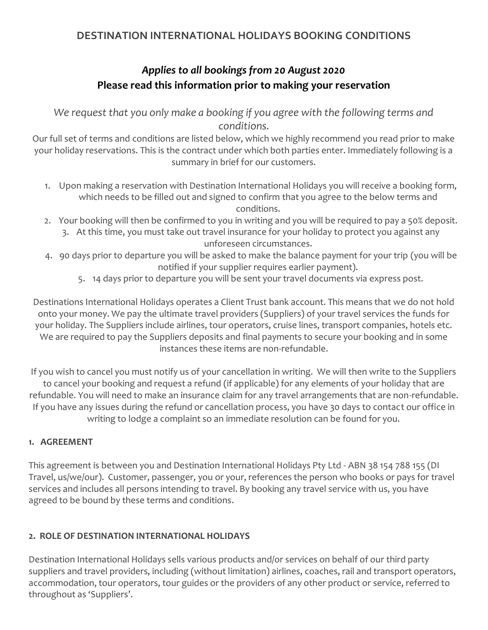#### **DESTINATION INTERNATIONAL HOLIDAYS BOOKING CONDITIONS**

## *Applies to all bookings from 20 August 2020*  **Please read this information prior to making your reservation**

We request that you only make a booking if you agree with the following terms and *conditions.*

Our full set of terms and conditions are listed below, which we highly recommend you read prior to make your holiday reservations. This is the contract under which both parties enter. Immediately following is a summary in brief for our customers.

- 1. Upon making a reservation with Destination International Holidays you will receive a booking form, which needs to be filled out and signed to confirm that you agree to the below terms and conditions.
- 2. Your booking will then be confirmed to you in writing and you will be required to pay a 50% deposit. 3. At this time, you must take out travel insurance for your holiday to protect you against any unforeseen circumstances.
- 4. 90 days prior to departure you will be asked to make the balance payment for your trip (you will be notified if your supplier requires earlier payment).
	- 5. 14 days prior to departure you will be sent your travel documents via express post.

Destinations International Holidays operates a Client Trust bank account. This means that we do not hold onto your money. We pay the ultimate travel providers (Suppliers) of your travel services the funds for your holiday. The Suppliers include airlines, tour operators, cruise lines, transport companies, hotels etc. We are required to pay the Suppliers deposits and final payments to secure your booking and in some instances these items are non-refundable.

If you wish to cancel you must notify us of your cancellation in writing. We will then write to the Suppliers to cancel your booking and request a refund (if applicable) for any elements of your holiday that are refundable. You will need to make an insurance claim for any travel arrangements that are non-refundable. If you have any issues during the refund or cancellation process, you have 30 days to contact our office in writing to lodge a complaint so an immediate resolution can be found for you.

#### **1. AGREEMENT**

This agreement is between you and Destination International Holidays Pty Ltd - ABN 38 154 788 155 (DI Travel, us/we/our). Customer, passenger, you or your, references the person who books or pays for travel services and includes all persons intending to travel. By booking any travel service with us, you have agreed to be bound by these terms and conditions.

#### **2. ROLE OF DESTINATION INTERNATIONAL HOLIDAYS**

Destination International Holidays sells various products and/or services on behalf of our third party suppliers and travel providers, including (without limitation) airlines, coaches, rail and transport operators, accommodation, tour operators, tour guides or the providers of any other product or service, referred to throughout as 'Suppliers'.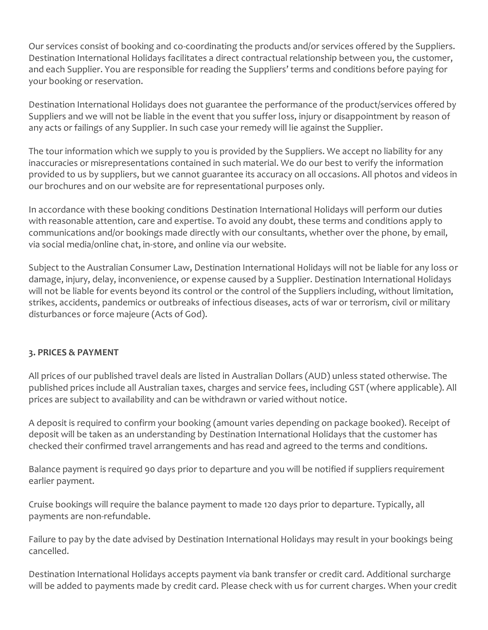Our services consist of booking and co-coordinating the products and/or services offered by the Suppliers. Destination International Holidays facilitates a direct contractual relationship between you, the customer, and each Supplier. You are responsible for reading the Suppliers' terms and conditions before paying for your booking or reservation.

Destination International Holidays does not guarantee the performance of the product/services offered by Suppliers and we will not be liable in the event that you suffer loss, injury or disappointment by reason of any acts or failings of any Supplier. In such case your remedy will lie against the Supplier.

The tour information which we supply to you is provided by the Suppliers. We accept no liability for any inaccuracies or misrepresentations contained in such material. We do our best to verify the information provided to us by suppliers, but we cannot guarantee its accuracy on all occasions. All photos and videos in our brochures and on our website are for representational purposes only.

In accordance with these booking conditions Destination International Holidays will perform our duties with reasonable attention, care and expertise. To avoid any doubt, these terms and conditions apply to communications and/or bookings made directly with our consultants, whether over the phone, by email, via social media/online chat, in-store, and online via our website.

Subject to the Australian Consumer Law, Destination International Holidays will not be liable for any loss or damage, injury, delay, inconvenience, or expense caused by a Supplier. Destination International Holidays will not be liable for events beyond its control or the control of the Suppliers including, without limitation, strikes, accidents, pandemics or outbreaks of infectious diseases, acts of war or terrorism, civil or military disturbances or force majeure (Acts of God).

#### **3. PRICES & PAYMENT**

All prices of our published travel deals are listed in Australian Dollars (AUD) unless stated otherwise. The published prices include all Australian taxes, charges and service fees, including GST (where applicable). All prices are subject to availability and can be withdrawn or varied without notice.

A deposit is required to confirm your booking (amount varies depending on package booked). Receipt of deposit will be taken as an understanding by Destination International Holidays that the customer has checked their confirmed travel arrangements and has read and agreed to the terms and conditions.

Balance payment is required 90 days prior to departure and you will be notified if suppliers requirement earlier payment.

Cruise bookings will require the balance payment to made 120 days prior to departure. Typically, all payments are non-refundable.

Failure to pay by the date advised by Destination International Holidays may result in your bookings being cancelled.

Destination International Holidays accepts payment via bank transfer or credit card. Additional surcharge will be added to payments made by credit card. Please check with us for current charges. When your credit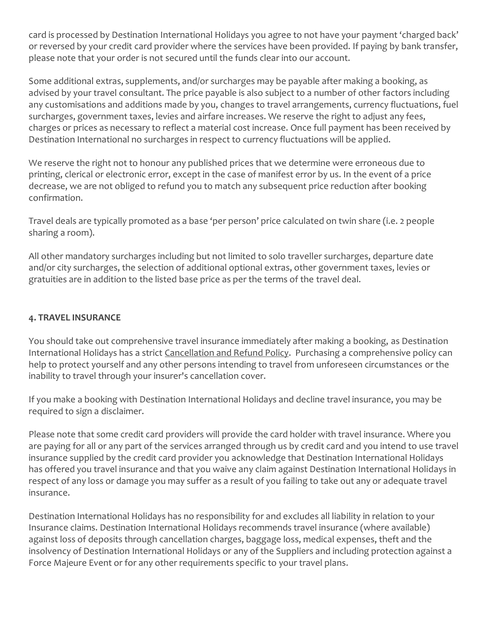card is processed by Destination International Holidays you agree to not have your payment 'charged back' or reversed by your credit card provider where the services have been provided. If paying by bank transfer, please note that your order is not secured until the funds clear into our account.

Some additional extras, supplements, and/or surcharges may be payable after making a booking, as advised by your travel consultant. The price payable is also subject to a number of other factors including any customisations and additions made by you, changes to travel arrangements, currency fluctuations, fuel surcharges, government taxes, levies and airfare increases. We reserve the right to adjust any fees, charges or prices as necessary to reflect a material cost increase. Once full payment has been received by Destination International no surcharges in respect to currency fluctuations will be applied.

We reserve the right not to honour any published prices that we determine were erroneous due to printing, clerical or electronic error, except in the case of manifest error by us. In the event of a price decrease, we are not obliged to refund you to match any subsequent price reduction after booking confirmation.

Travel deals are typically promoted as a base 'per person' price calculated on twin share (i.e. 2 people sharing a room).

All other mandatory surcharges including but not limited to solo traveller surcharges, departure date and/or city surcharges, the selection of additional optional extras, other government taxes, levies or gratuities are in addition to the listed base price as per the terms of the travel deal.

#### **4. TRAVEL INSURANCE**

You should take out comprehensive travel insurance immediately after making a booking, as Destination International Holidays has a strict Cancellation [and Refund Policy.](https://www.ditravel.com.au/wp-content/uploads/2020/08/DIH-CANCELLATION-AND-REFUND-POLICY-2020.pdf) Purchasing a comprehensive policy can help to protect yourself and any other persons intending to travel from unforeseen circumstances or the inability to travel through your insurer's cancellation cover.

If you make a booking with Destination International Holidays and decline travel insurance, you may be required to sign a disclaimer.

Please note that some credit card providers will provide the card holder with travel insurance. Where you are paying for all or any part of the services arranged through us by credit card and you intend to use travel insurance supplied by the credit card provider you acknowledge that Destination International Holidays has offered you travel insurance and that you waive any claim against Destination International Holidays in respect of any loss or damage you may suffer as a result of you failing to take out any or adequate travel insurance.

Destination International Holidays has no responsibility for and excludes all liability in relation to your Insurance claims. Destination International Holidays recommends travel insurance (where available) against loss of deposits through cancellation charges, baggage loss, medical expenses, theft and the insolvency of Destination International Holidays or any of the Suppliers and including protection against a Force Majeure Event or for any other requirements specific to your travel plans.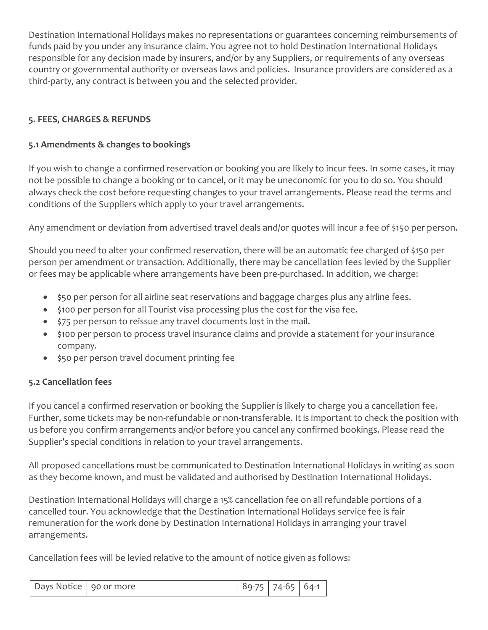Destination International Holidays makes no representations or guarantees concerning reimbursements of funds paid by you under any insurance claim. You agree not to hold Destination International Holidays responsible for any decision made by insurers, and/or by any Suppliers, or requirements of any overseas country or governmental authority or overseas laws and policies. Insurance providers are considered as a third-party, any contract is between you and the selected provider.

#### **5. FEES, CHARGES & REFUNDS**

#### **5.1 Amendments & changes to bookings**

If you wish to change a confirmed reservation or booking you are likely to incur fees. In some cases, it may not be possible to change a booking or to cancel, or it may be uneconomic for you to do so. You should always check the cost before requesting changes to your travel arrangements. Please read the terms and conditions of the Suppliers which apply to your travel arrangements.

Any amendment or deviation from advertised travel deals and/or quotes will incur a fee of \$150 per person.

Should you need to alter your confirmed reservation, there will be an automatic fee charged of \$150 per person per amendment or transaction. Additionally, there may be cancellation fees levied by the Supplier or fees may be applicable where arrangements have been pre-purchased. In addition, we charge:

- \$50 per person for all airline seat reservations and baggage charges plus any airline fees.
- \$100 per person for all Tourist visa processing plus the cost for the visa fee.
- \$75 per person to reissue any travel documents lost in the mail.
- \$100 per person to process travel insurance claims and provide a statement for your insurance company.
- \$50 per person travel document printing fee

#### **5.2 Cancellation fees**

If you cancel a confirmed reservation or booking the Supplier is likely to charge you a cancellation fee. Further, some tickets may be non-refundable or non-transferable. It is important to check the position with us before you confirm arrangements and/or before you cancel any confirmed bookings. Please read the Supplier's special conditions in relation to your travel arrangements.

All proposed cancellations must be communicated to Destination International Holidays in writing as soon as they become known, and must be validated and authorised by Destination International Holidays.

Destination International Holidays will charge a 15% cancellation fee on all refundable portions of a cancelled tour. You acknowledge that the Destination International Holidays service fee is fair remuneration for the work done by Destination International Holidays in arranging your travel arrangements.

Cancellation fees will be levied relative to the amount of notice given as follows:

| Days Notice 90 or more |  |  | 89-75 74-65 64-1 |  |
|------------------------|--|--|------------------|--|
|------------------------|--|--|------------------|--|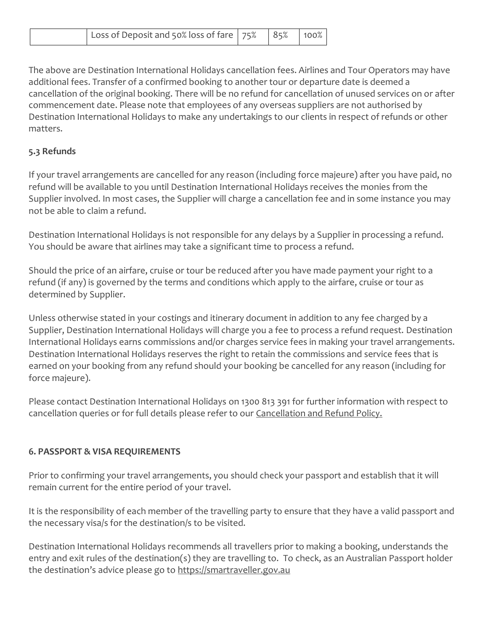| l Loss of Deposit and 50% loss of fare $ 75\% 85\% 100\% $ |  |  |  |
|------------------------------------------------------------|--|--|--|
|------------------------------------------------------------|--|--|--|

The above are Destination International Holidays cancellation fees. Airlines and Tour Operators may have additional fees. Transfer of a confirmed booking to another tour or departure date is deemed a cancellation of the original booking. There will be no refund for cancellation of unused services on or after commencement date. Please note that employees of any overseas suppliers are not authorised by Destination International Holidays to make any undertakings to our clients in respect of refunds or other matters.

#### **5.3 Refunds**

If your travel arrangements are cancelled for any reason (including force majeure) after you have paid, no refund will be available to you until Destination International Holidays receives the monies from the Supplier involved. In most cases, the Supplier will charge a cancellation fee and in some instance you may not be able to claim a refund.

Destination International Holidays is not responsible for any delays by a Supplier in processing a refund. You should be aware that airlines may take a significant time to process a refund.

Should the price of an airfare, cruise or tour be reduced after you have made payment your right to a refund (if any) is governed by the terms and conditions which apply to the airfare, cruise or tour as determined by Supplier.

Unless otherwise stated in your costings and itinerary document in addition to any fee charged by a Supplier, Destination International Holidays will charge you a fee to process a refund request. Destination International Holidays earns commissions and/or charges service fees in making your travel arrangements. Destination International Holidays reserves the right to retain the commissions and service fees that is earned on your booking from any refund should your booking be cancelled for any reason (including for force majeure).

Please contact Destination International Holidays on 1300 813 391 for further information with respect to cancellation queries or for full details please refer to our [Cancellation and Refund Policy.](https://www.ditravel.com.au/wp-content/uploads/2020/08/DIH-CANCELLATION-AND-REFUND-POLICY-2020.pdf)

#### **6. PASSPORT & VISA REQUIREMENTS**

Prior to confirming your travel arrangements, you should check your passport and establish that it will remain current for the entire period of your travel.

It is the responsibility of each member of the travelling party to ensure that they have a valid passport and the necessary visa/s for the destination/s to be visited.

Destination International Holidays recommends all travellers prior to making a booking, understands the entry and exit rules of the destination(s) they are travelling to. To check, as an Australian Passport holder the destination's advice please go to [https://smartraveller.gov.au](https://smartraveller.gov.au/)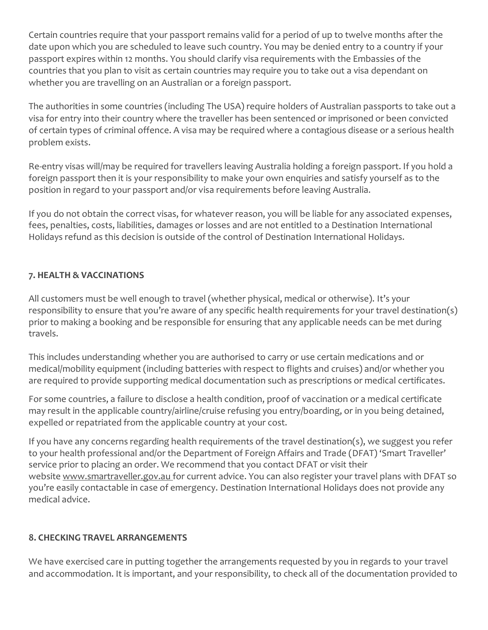Certain countries require that your passport remains valid for a period of up to twelve months after the date upon which you are scheduled to leave such country. You may be denied entry to a country if your passport expires within 12 months. You should clarify visa requirements with the Embassies of the countries that you plan to visit as certain countries may require you to take out a visa dependant on whether you are travelling on an Australian or a foreign passport.

The authorities in some countries (including The USA) require holders of Australian passports to take out a visa for entry into their country where the traveller has been sentenced or imprisoned or been convicted of certain types of criminal offence. A visa may be required where a contagious disease or a serious health problem exists.

Re-entry visas will/may be required for travellers leaving Australia holding a foreign passport. If you hold a foreign passport then it is your responsibility to make your own enquiries and satisfy yourself as to the position in regard to your passport and/or visa requirements before leaving Australia.

If you do not obtain the correct visas, for whatever reason, you will be liable for any associated expenses, fees, penalties, costs, liabilities, damages or losses and are not entitled to a Destination International Holidays refund as this decision is outside of the control of Destination International Holidays.

#### **7. HEALTH & VACCINATIONS**

All customers must be well enough to travel (whether physical, medical or otherwise). It's your responsibility to ensure that you're aware of any specific health requirements for your travel destination(s) prior to making a booking and be responsible for ensuring that any applicable needs can be met during travels.

This includes understanding whether you are authorised to carry or use certain medications and or medical/mobility equipment (including batteries with respect to flights and cruises) and/or whether you are required to provide supporting medical documentation such as prescriptions or medical certificates.

For some countries, a failure to disclose a health condition, proof of vaccination or a medical certificate may result in the applicable country/airline/cruise refusing you entry/boarding, or in you being detained, expelled or repatriated from the applicable country at your cost.

If you have any concerns regarding health requirements of the travel destination(s), we suggest you refer to your health professional and/or the Department of Foreign Affairs and Trade (DFAT) 'Smart Traveller' service prior to placing an order. We recommend that you contact DFAT or visit their website [www.smartraveller.gov.au](http://www.smartraveller.gov.au/) [f](http://www.smartraveller.gov.au/)or current advice. You can also register your travel plans with DFAT so you're easily contactable in case of emergency. Destination International Holidays does not provide any medical advice.

#### **8. CHECKING TRAVEL ARRANGEMENTS**

We have exercised care in putting together the arrangements requested by you in regards to your travel and accommodation. It is important, and your responsibility, to check all of the documentation provided to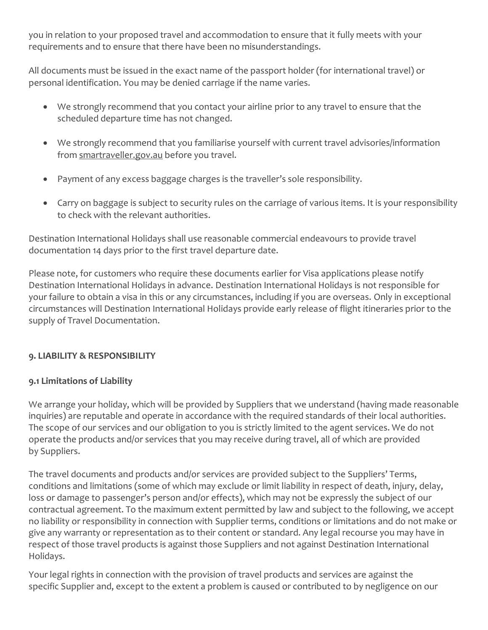you in relation to your proposed travel and accommodation to ensure that it fully meets with your requirements and to ensure that there have been no misunderstandings.

All documents must be issued in the exact name of the passport holder (for international travel) or personal identification. You may be denied carriage if the name varies.

- We strongly recommend that you contact your airline prior to any travel to ensure that the scheduled departure time has not changed.
- We strongly recommend that you familiarise yourself with current travel advisories/information from [smartraveller.gov.au](https://www.smartraveller.gov.au/) before you travel.
- Payment of any excess baggage charges is the traveller's sole responsibility.
- Carry on baggage is subject to security rules on the carriage of various items. It is your responsibility to check with the relevant authorities.

Destination International Holidays shall use reasonable commercial endeavours to provide travel documentation 14 days prior to the first travel departure date.

Please note, for customers who require these documents earlier for Visa applications please notify Destination International Holidays in advance. Destination International Holidays is not responsible for your failure to obtain a visa in this or any circumstances, including if you are overseas. Only in exceptional circumstances will Destination International Holidays provide early release of flight itineraries prior to the supply of Travel Documentation.

#### **9. LIABILITY & RESPONSIBILITY**

#### **9.1 Limitations of Liability**

We arrange your holiday, which will be provided by Suppliers that we understand (having made reasonable inquiries) are reputable and operate in accordance with the required standards of their local authorities. The scope of our services and our obligation to you is strictly limited to the agent services. We do not operate the products and/or services that you may receive during travel, all of which are provided by Suppliers.

The travel documents and products and/or services are provided subject to the Suppliers' Terms, conditions and limitations (some of which may exclude or limit liability in respect of death, injury, delay, loss or damage to passenger's person and/or effects), which may not be expressly the subject of our contractual agreement. To the maximum extent permitted by law and subject to the following, we accept no liability or responsibility in connection with Supplier terms, conditions or limitations and do not make or give any warranty or representation as to their content or standard. Any legal recourse you may have in respect of those travel products is against those Suppliers and not against Destination International Holidays.

Your legal rights in connection with the provision of travel products and services are against the specific Supplier and, except to the extent a problem is caused or contributed to by negligence on our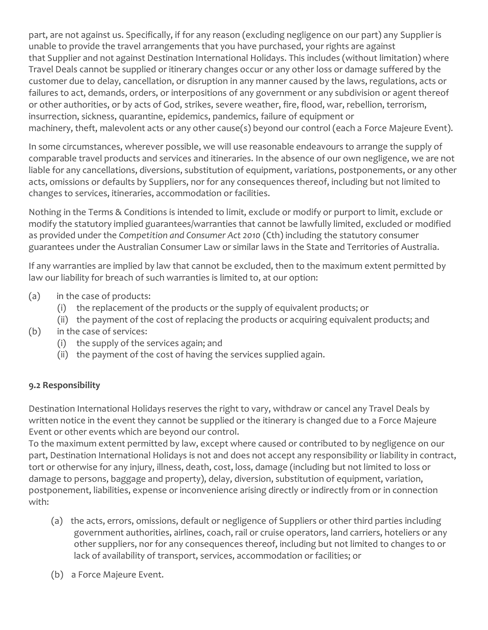part, are not against us. Specifically, if for any reason (excluding negligence on our part) any Supplier is unable to provide the travel arrangements that you have purchased, your rights are against that Supplier and not against Destination International Holidays. This includes (without limitation) where Travel Deals cannot be supplied or itinerary changes occur or any other loss or damage suffered by the customer due to delay, cancellation, or disruption in any manner caused by the laws, regulations, acts or failures to act, demands, orders, or interpositions of any government or any subdivision or agent thereof or other authorities, or by acts of God, strikes, severe weather, fire, flood, war, rebellion, terrorism, insurrection, sickness, quarantine, epidemics, pandemics, failure of equipment or machinery, theft, malevolent acts or any other cause(s) beyond our control (each a Force Majeure Event).

In some circumstances, wherever possible, we will use reasonable endeavours to arrange the supply of comparable travel products and services and itineraries. In the absence of our own negligence, we are not liable for any cancellations, diversions, substitution of equipment, variations, postponements, or any other acts, omissions or defaults by Suppliers, nor for any consequences thereof, including but not limited to changes to services, itineraries, accommodation or facilities.

Nothing in the Terms & Conditions is intended to limit, exclude or modify or purport to limit, exclude or modify the statutory implied guarantees/warranties that cannot be lawfully limited, excluded or modified as provided under the *Competition and Consumer Act 2010* (Cth) including the statutory consumer guarantees under the Australian Consumer Law or similar laws in the State and Territories of Australia.

If any warranties are implied by law that cannot be excluded, then to the maximum extent permitted by law our liability for breach of such warranties is limited to, at our option:

- (a) in the case of products:
	- (i) the replacement of the products or the supply of equivalent products; or
	- (ii) the payment of the cost of replacing the products or acquiring equivalent products; and
- (b) in the case of services:
	- (i) the supply of the services again; and
	- (ii) the payment of the cost of having the services supplied again.

#### **9.2 Responsibility**

Destination International Holidays reserves the right to vary, withdraw or cancel any Travel Deals by written notice in the event they cannot be supplied or the itinerary is changed due to a Force Majeure Event or other events which are beyond our control.

To the maximum extent permitted by law, except where caused or contributed to by negligence on our part, Destination International Holidays is not and does not accept any responsibility or liability in contract, tort or otherwise for any injury, illness, death, cost, loss, damage (including but not limited to loss or damage to persons, baggage and property), delay, diversion, substitution of equipment, variation, postponement, liabilities, expense or inconvenience arising directly or indirectly from or in connection with:

- (a) the acts, errors, omissions, default or negligence of Suppliers or other third parties including government authorities, airlines, coach, rail or cruise operators, land carriers, hoteliers or any other suppliers, nor for any consequences thereof, including but not limited to changes to or lack of availability of transport, services, accommodation or facilities; or
- (b) a Force Majeure Event.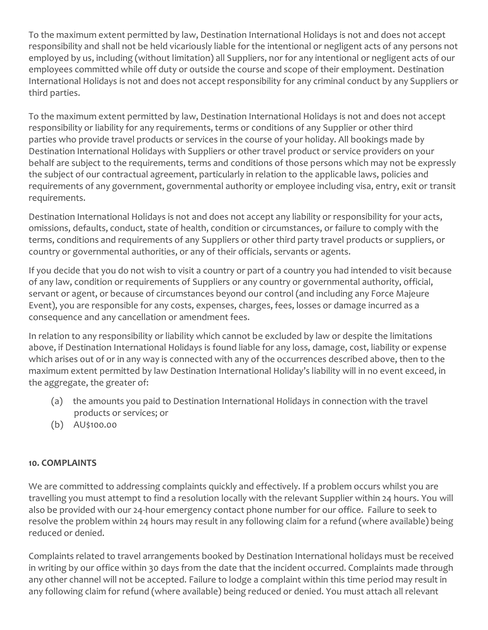To the maximum extent permitted by law, Destination International Holidays is not and does not accept responsibility and shall not be held vicariously liable for the intentional or negligent acts of any persons not employed by us, including (without limitation) all Suppliers, nor for any intentional or negligent acts of our employees committed while off duty or outside the course and scope of their employment. Destination International Holidays is not and does not accept responsibility for any criminal conduct by any Suppliers or third parties.

To the maximum extent permitted by law, Destination International Holidays is not and does not accept responsibility or liability for any requirements, terms or conditions of any Supplier or other third parties who provide travel products or services in the course of your holiday. All bookings made by Destination International Holidays with Suppliers or other travel product or service providers on your behalf are subject to the requirements, terms and conditions of those persons which may not be expressly the subject of our contractual agreement, particularly in relation to the applicable laws, policies and requirements of any government, governmental authority or employee including visa, entry, exit or transit requirements.

Destination International Holidays is not and does not accept any liability or responsibility for your acts, omissions, defaults, conduct, state of health, condition or circumstances, or failure to comply with the terms, conditions and requirements of any Suppliers or other third party travel products or suppliers, or country or governmental authorities, or any of their officials, servants or agents.

If you decide that you do not wish to visit a country or part of a country you had intended to visit because of any law, condition or requirements of Suppliers or any country or governmental authority, official, servant or agent, or because of circumstances beyond our control (and including any Force Majeure Event), you are responsible for any costs, expenses, charges, fees, losses or damage incurred as a consequence and any cancellation or amendment fees.

In relation to any responsibility or liability which cannot be excluded by law or despite the limitations above, if Destination International Holidays is found liable for any loss, damage, cost, liability or expense which arises out of or in any way is connected with any of the occurrences described above, then to the maximum extent permitted by law Destination International Holiday's liability will in no event exceed, in the aggregate, the greater of:

- (a) the amounts you paid to Destination International Holidays in connection with the travel products or services; or
- (b) AU\$100.00

#### **10. COMPLAINTS**

We are committed to addressing complaints quickly and effectively. If a problem occurs whilst you are travelling you must attempt to find a resolution locally with the relevant Supplier within 24 hours. You will also be provided with our 24-hour emergency contact phone number for our office. Failure to seek to resolve the problem within 24 hours may result in any following claim for a refund (where available) being reduced or denied.

Complaints related to travel arrangements booked by Destination International holidays must be received in writing by our office within 30 days from the date that the incident occurred. Complaints made through any other channel will not be accepted. Failure to lodge a complaint within this time period may result in any following claim for refund (where available) being reduced or denied. You must attach all relevant